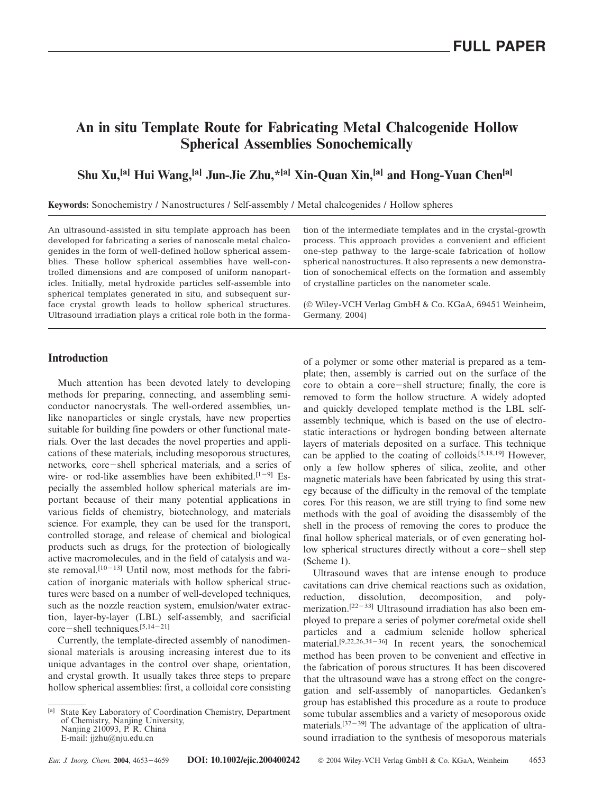# **An in situ Template Route for Fabricating Metal Chalcogenide Hollow Spherical Assemblies Sonochemically**

**Shu Xu,[a] Hui Wang,[a] Jun-Jie Zhu,\*[a] Xin-Quan Xin,[a] and Hong-Yuan Chen[a]**

**Keywords:** Sonochemistry / Nanostructures / Self-assembly / Metal chalcogenides / Hollow spheres

An ultrasound-assisted in situ template approach has been developed for fabricating a series of nanoscale metal chalcogenides in the form of well-defined hollow spherical assemblies. These hollow spherical assemblies have well-controlled dimensions and are composed of uniform nanoparticles. Initially, metal hydroxide particles self-assemble into spherical templates generated in situ, and subsequent surface crystal growth leads to hollow spherical structures. Ultrasound irradiation plays a critical role both in the forma-

**Introduction**

Much attention has been devoted lately to developing methods for preparing, connecting, and assembling semiconductor nanocrystals. The well-ordered assemblies, unlike nanoparticles or single crystals, have new properties suitable for building fine powders or other functional materials. Over the last decades the novel properties and applications of these materials, including mesoporous structures, networks, core-shell spherical materials, and a series of wire- or rod-like assemblies have been exhibited.<sup>[1-9]</sup> Especially the assembled hollow spherical materials are important because of their many potential applications in various fields of chemistry, biotechnology, and materials science. For example, they can be used for the transport, controlled storage, and release of chemical and biological products such as drugs, for the protection of biologically active macromolecules, and in the field of catalysis and waste removal.<sup>[10-13]</sup> Until now, most methods for the fabrication of inorganic materials with hollow spherical structures were based on a number of well-developed techniques, such as the nozzle reaction system, emulsion/water extraction, layer-by-layer (LBL) self-assembly, and sacrificial  $core-shell techniques.$ <sup>[5,14-21]</sup>

Currently, the template-directed assembly of nanodimensional materials is arousing increasing interest due to its unique advantages in the control over shape, orientation, and crystal growth. It usually takes three steps to prepare hollow spherical assemblies: first, a colloidal core consisting

tion of the intermediate templates and in the crystal-growth process. This approach provides a convenient and efficient one-step pathway to the large-scale fabrication of hollow spherical nanostructures. It also represents a new demonstration of sonochemical effects on the formation and assembly of crystalline particles on the nanometer scale.

(© Wiley-VCH Verlag GmbH & Co. KGaA, 69451 Weinheim, Germany, 2004)

of a polymer or some other material is prepared as a template; then, assembly is carried out on the surface of the core to obtain a core-shell structure; finally, the core is removed to form the hollow structure. A widely adopted and quickly developed template method is the LBL selfassembly technique, which is based on the use of electrostatic interactions or hydrogen bonding between alternate layers of materials deposited on a surface. This technique can be applied to the coating of colloids.[5,18,19] However, only a few hollow spheres of silica, zeolite, and other magnetic materials have been fabricated by using this strategy because of the difficulty in the removal of the template cores. For this reason, we are still trying to find some new methods with the goal of avoiding the disassembly of the shell in the process of removing the cores to produce the final hollow spherical materials, or of even generating hollow spherical structures directly without a core-shell step (Scheme 1).

Ultrasound waves that are intense enough to produce cavitations can drive chemical reactions such as oxidation, reduction, dissolution, decomposition, and polymerization.<sup>[22-33]</sup> Ultrasound irradiation has also been employed to prepare a series of polymer core/metal oxide shell particles and a cadmium selenide hollow spherical material.<sup>[9,22,26,34-36]</sup> In recent years, the sonochemical method has been proven to be convenient and effective in the fabrication of porous structures. It has been discovered that the ultrasound wave has a strong effect on the congregation and self-assembly of nanoparticles. Gedanken's group has established this procedure as a route to produce some tubular assemblies and a variety of mesoporous oxide materials.<sup>[37-39]</sup> The advantage of the application of ultrasound irradiation to the synthesis of mesoporous materials

State Key Laboratory of Coordination Chemistry, Department of Chemistry, Nanjing University, Nanjing 210093, P. R. China E-mail: jjzhu@nju.edu.cn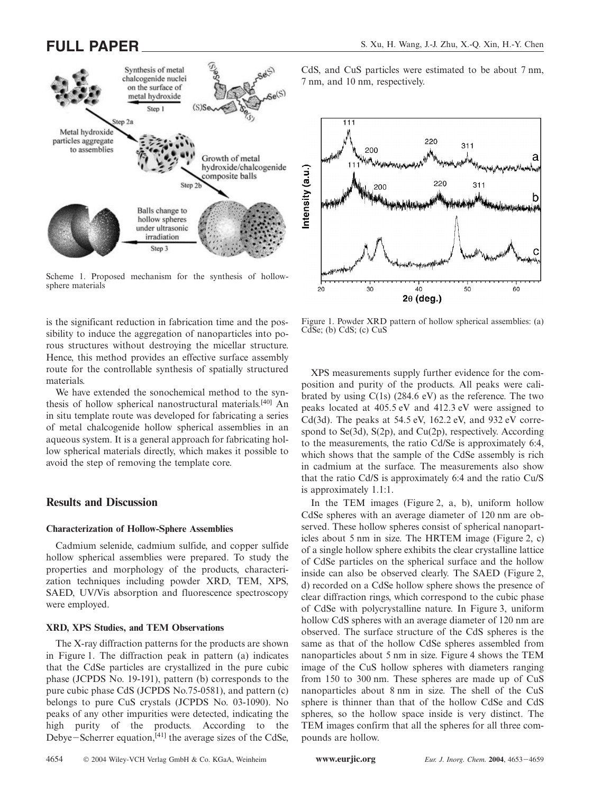

Scheme 1. Proposed mechanism for the synthesis of hollowsphere materials

is the significant reduction in fabrication time and the possibility to induce the aggregation of nanoparticles into porous structures without destroying the micellar structure. Hence, this method provides an effective surface assembly route for the controllable synthesis of spatially structured materials.

We have extended the sonochemical method to the synthesis of hollow spherical nanostructural materials.[40] An in situ template route was developed for fabricating a series of metal chalcogenide hollow spherical assemblies in an aqueous system. It is a general approach for fabricating hollow spherical materials directly, which makes it possible to avoid the step of removing the template core.

# **Results and Discussion**

#### **Characterization of Hollow-Sphere Assemblies**

Cadmium selenide, cadmium sulfide, and copper sulfide hollow spherical assemblies were prepared. To study the properties and morphology of the products, characterization techniques including powder XRD, TEM, XPS, SAED, UV/Vis absorption and fluorescence spectroscopy were employed.

#### **XRD, XPS Studies, and TEM Observations**

The X-ray diffraction patterns for the products are shown in Figure 1. The diffraction peak in pattern (a) indicates that the CdSe particles are crystallized in the pure cubic phase (JCPDS No. 19-191), pattern (b) corresponds to the pure cubic phase CdS (JCPDS No.75-0581), and pattern (c) belongs to pure CuS crystals (JCPDS No. 03-1090). No peaks of any other impurities were detected, indicating the high purity of the products. According to the Debye-Scherrer equation,<sup>[41]</sup> the average sizes of the CdSe,

CdS, and CuS particles were estimated to be about 7 nm, 7 nm, and 10 nm, respectively.



Figure 1. Powder XRD pattern of hollow spherical assemblies: (a) CdSe; (b) CdS; (c) CuS

XPS measurements supply further evidence for the composition and purity of the products. All peaks were calibrated by using  $C(1s)$  (284.6 eV) as the reference. The two peaks located at 405.5 eV and 412.3 eV were assigned to Cd(3d). The peaks at 54.5 eV, 162.2 eV, and 932 eV correspond to Se(3d),  $S(2p)$ , and Cu(2p), respectively. According to the measurements, the ratio Cd/Se is approximately 6:4, which shows that the sample of the CdSe assembly is rich in cadmium at the surface. The measurements also show that the ratio Cd/S is approximately 6:4 and the ratio Cu/S is approximately 1.1:1.

In the TEM images (Figure 2, a, b), uniform hollow CdSe spheres with an average diameter of 120 nm are observed. These hollow spheres consist of spherical nanoparticles about 5 nm in size. The HRTEM image (Figure 2, c) of a single hollow sphere exhibits the clear crystalline lattice of CdSe particles on the spherical surface and the hollow inside can also be observed clearly. The SAED (Figure 2, d) recorded on a CdSe hollow sphere shows the presence of clear diffraction rings, which correspond to the cubic phase of CdSe with polycrystalline nature. In Figure 3, uniform hollow CdS spheres with an average diameter of 120 nm are observed. The surface structure of the CdS spheres is the same as that of the hollow CdSe spheres assembled from nanoparticles about 5 nm in size. Figure 4 shows the TEM image of the CuS hollow spheres with diameters ranging from 150 to 300 nm. These spheres are made up of CuS nanoparticles about 8 nm in size. The shell of the CuS sphere is thinner than that of the hollow CdSe and CdS spheres, so the hollow space inside is very distinct. The TEM images confirm that all the spheres for all three compounds are hollow.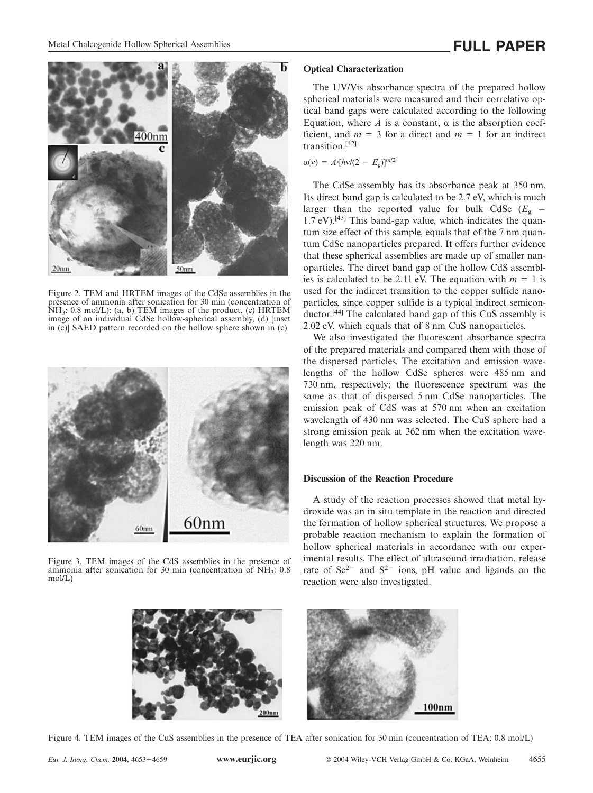

Figure 2. TEM and HRTEM images of the CdSe assemblies in the presence of ammonia after sonication for 30 min (concentration of NH3: 0.8 mol/L): (a, b) TEM images of the product, (c) HRTEM image of an individual CdSe hollow-spherical assembly, (d) [inset in  $(c)$ ] SAED pattern recorded on the hollow sphere shown in  $(c)$ 



Figure 3. TEM images of the CdS assemblies in the presence of ammonia after sonication for 30 min (concentration of  $NH_3$ : 0.8 mol/L)

# **Optical Characterization**

The UV/Vis absorbance spectra of the prepared hollow spherical materials were measured and their correlative optical band gaps were calculated according to the following Equation, where  $A$  is a constant,  $\alpha$  is the absorption coefficient, and  $m = 3$  for a direct and  $m = 1$  for an indirect transition.[42]

 $\alpha(v) = A \cdot [h\nu/(2 - E_g)]^{m/2}$ 

The CdSe assembly has its absorbance peak at 350 nm. Its direct band gap is calculated to be 2.7 eV, which is much larger than the reported value for bulk CdSe  $(E_g =$ 1.7 eV).[43] This band-gap value, which indicates the quantum size effect of this sample, equals that of the 7 nm quantum CdSe nanoparticles prepared. It offers further evidence that these spherical assemblies are made up of smaller nanoparticles. The direct band gap of the hollow CdS assemblies is calculated to be 2.11 eV. The equation with  $m = 1$  is used for the indirect transition to the copper sulfide nanoparticles, since copper sulfide is a typical indirect semiconductor.[44] The calculated band gap of this CuS assembly is 2.02 eV, which equals that of 8 nm CuS nanoparticles.

We also investigated the fluorescent absorbance spectra of the prepared materials and compared them with those of the dispersed particles. The excitation and emission wavelengths of the hollow CdSe spheres were 485 nm and 730 nm, respectively; the fluorescence spectrum was the same as that of dispersed 5 nm CdSe nanoparticles. The emission peak of CdS was at 570 nm when an excitation wavelength of 430 nm was selected. The CuS sphere had a strong emission peak at 362 nm when the excitation wavelength was 220 nm.

#### **Discussion of the Reaction Procedure**

A study of the reaction processes showed that metal hydroxide was an in situ template in the reaction and directed the formation of hollow spherical structures. We propose a probable reaction mechanism to explain the formation of hollow spherical materials in accordance with our experimental results. The effect of ultrasound irradiation, release rate of  $\text{Se}^{2-}$  and  $\text{S}^{2-}$  ions, pH value and ligands on the reaction were also investigated.



Figure 4. TEM images of the CuS assemblies in the presence of TEA after sonication for 30 min (concentration of TEA: 0.8 mol/L)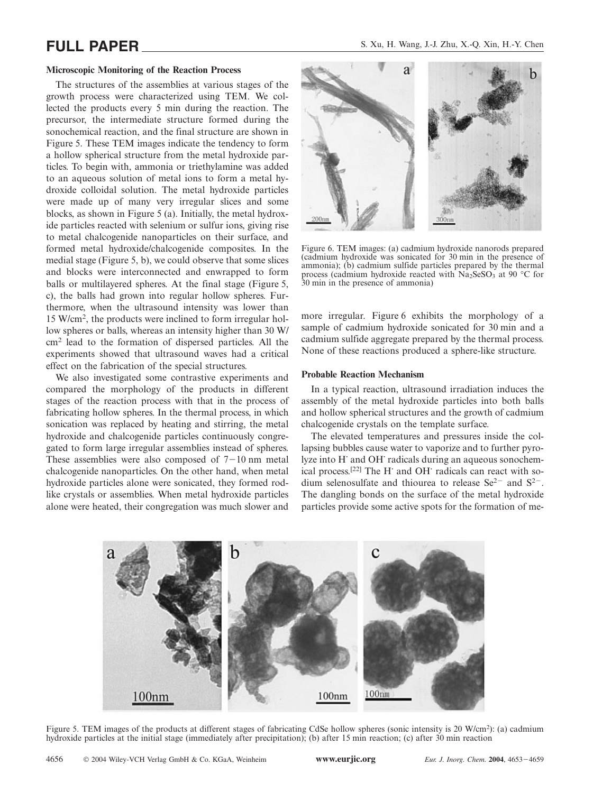### **Microscopic Monitoring of the Reaction Process**

The structures of the assemblies at various stages of the growth process were characterized using TEM. We collected the products every 5 min during the reaction. The precursor, the intermediate structure formed during the sonochemical reaction, and the final structure are shown in Figure 5. These TEM images indicate the tendency to form a hollow spherical structure from the metal hydroxide particles. To begin with, ammonia or triethylamine was added to an aqueous solution of metal ions to form a metal hydroxide colloidal solution. The metal hydroxide particles were made up of many very irregular slices and some blocks, as shown in Figure 5 (a). Initially, the metal hydroxide particles reacted with selenium or sulfur ions, giving rise to metal chalcogenide nanoparticles on their surface, and formed metal hydroxide/chalcogenide composites. In the medial stage (Figure 5, b), we could observe that some slices and blocks were interconnected and enwrapped to form balls or multilayered spheres. At the final stage (Figure 5, c), the balls had grown into regular hollow spheres. Furthermore, when the ultrasound intensity was lower than 15 W/cm<sup>2</sup> , the products were inclined to form irregular hollow spheres or balls, whereas an intensity higher than 30 W/ cm<sup>2</sup> lead to the formation of dispersed particles. All the experiments showed that ultrasound waves had a critical effect on the fabrication of the special structures.

We also investigated some contrastive experiments and compared the morphology of the products in different stages of the reaction process with that in the process of fabricating hollow spheres. In the thermal process, in which sonication was replaced by heating and stirring, the metal hydroxide and chalcogenide particles continuously congregated to form large irregular assemblies instead of spheres. These assemblies were also composed of  $7-10$  nm metal chalcogenide nanoparticles. On the other hand, when metal hydroxide particles alone were sonicated, they formed rodlike crystals or assemblies. When metal hydroxide particles alone were heated, their congregation was much slower and



Figure 6. TEM images: (a) cadmium hydroxide nanorods prepared (cadmium hydroxide was sonicated for 30 min in the presence of ammonia); (b) cadmium sulfide particles prepared by the thermal process (cadmium hydroxide reacted with  $Na<sub>2</sub>SeSO<sub>3</sub>$  at 90 °C for 30 min in the presence of ammonia)

more irregular. Figure 6 exhibits the morphology of a sample of cadmium hydroxide sonicated for 30 min and a cadmium sulfide aggregate prepared by the thermal process. None of these reactions produced a sphere-like structure.

#### **Probable Reaction Mechanism**

In a typical reaction, ultrasound irradiation induces the assembly of the metal hydroxide particles into both balls and hollow spherical structures and the growth of cadmium chalcogenide crystals on the template surface.

The elevated temperatures and pressures inside the collapsing bubbles cause water to vaporize and to further pyrolyze into H**·** and OH**·** radicals during an aqueous sonochemical process.[22] The H**·** and OH**·** radicals can react with sodium selenosulfate and thiourea to release  $\text{Se}^{2-}$  and  $\text{S}^{2-}$ . The dangling bonds on the surface of the metal hydroxide particles provide some active spots for the formation of me-



Figure 5. TEM images of the products at different stages of fabricating CdSe hollow spheres (sonic intensity is 20 W/cm<sup>2</sup>): (a) cadmium hydroxide particles at the initial stage (immediately after precipitation); (b) after 15 min reaction; (c) after 30 min reaction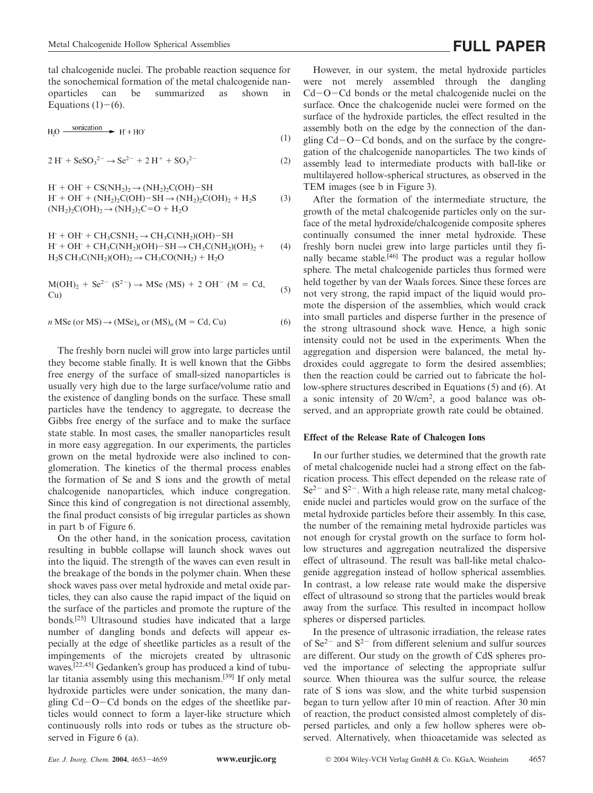tal chalcogenide nuclei. The probable reaction sequence for the sonochemical formation of the metal chalcogenide nanoparticles can be summarized as shown in Equations  $(1)-(6)$ .

$$
H_2O \xrightarrow{\text{sonication}} H + HO'
$$
 (1)

$$
2 H + SeSO32- \to Se2- + 2 H+ + SO32-
$$
 (2)

 $H^{\cdot}$  + OH<sup> $\cdot$ </sup> + CS(NH<sub>2</sub>)<sub>2</sub>  $\rightarrow$  (NH<sub>2</sub>)<sub>2</sub>C(OH)-SH  $H + OH + (NH<sub>2</sub>)<sub>2</sub>C(OH) - SH \rightarrow (NH<sub>2</sub>)<sub>2</sub>C(OH)<sub>2</sub> + H<sub>2</sub>S$  (3)  $(NH_2)_2C(OH)_2 \rightarrow (NH_2)_2C=O + H_2O$ 

 $H^{\cdot}$  + OH<sup> $\cdot$ </sup> + CH<sub>3</sub>CSNH<sub>2</sub>  $\rightarrow$  CH<sub>3</sub>C(NH<sub>2</sub>)(OH) – SH  $H + OH + CH_3C(NH_2)(OH) - SH \rightarrow CH_3C(NH_2)(OH) +$  (4)  $\rm H_2S\,CH_3C(NH_2)(OH)_2\rightarrow CH_3CO(NH_2) + H_2O$ 

 $M(OH)_2 + Se^{2-} (S^{2-}) \rightarrow MSe (MS) + 2 OH^- (M = Cd,$  (5)<br>Cu)

$$
n\,\mathrm{MSe}\,(\text{or}\,\mathrm{MS}) \to (\mathrm{MSe})_n\,\mathrm{or}\,(\mathrm{MS})_n\,(\mathrm{M}=Cd,\mathrm{Cu})\tag{6}
$$

The freshly born nuclei will grow into large particles until they become stable finally. It is well known that the Gibbs free energy of the surface of small-sized nanoparticles is usually very high due to the large surface/volume ratio and the existence of dangling bonds on the surface. These small particles have the tendency to aggregate, to decrease the Gibbs free energy of the surface and to make the surface state stable. In most cases, the smaller nanoparticles result in more easy aggregation. In our experiments, the particles grown on the metal hydroxide were also inclined to conglomeration. The kinetics of the thermal process enables the formation of Se and S ions and the growth of metal chalcogenide nanoparticles, which induce congregation. Since this kind of congregation is not directional assembly, the final product consists of big irregular particles as shown in part b of Figure 6.

On the other hand, in the sonication process, cavitation resulting in bubble collapse will launch shock waves out into the liquid. The strength of the waves can even result in the breakage of the bonds in the polymer chain. When these shock waves pass over metal hydroxide and metal oxide particles, they can also cause the rapid impact of the liquid on the surface of the particles and promote the rupture of the bonds.[25] Ultrasound studies have indicated that a large number of dangling bonds and defects will appear especially at the edge of sheetlike particles as a result of the impingements of the microjets created by ultrasonic waves.[22,45] Gedanken's group has produced a kind of tubular titania assembly using this mechanism.[39] If only metal hydroxide particles were under sonication, the many dangling  $Cd-O-Cd$  bonds on the edges of the sheetlike particles would connect to form a layer-like structure which continuously rolls into rods or tubes as the structure observed in Figure 6 (a).

However, in our system, the metal hydroxide particles were not merely assembled through the dangling  $Cd-O-Cd$  bonds or the metal chalcogenide nuclei on the surface. Once the chalcogenide nuclei were formed on the surface of the hydroxide particles, the effect resulted in the assembly both on the edge by the connection of the dangling  $Cd-O-Cd$  bonds, and on the surface by the congregation of the chalcogenide nanoparticles. The two kinds of assembly lead to intermediate products with ball-like or multilayered hollow-spherical structures, as observed in the TEM images (see b in Figure 3).

After the formation of the intermediate structure, the growth of the metal chalcogenide particles only on the surface of the metal hydroxide/chalcogenide composite spheres continually consumed the inner metal hydroxide. These freshly born nuclei grew into large particles until they finally became stable.[46] The product was a regular hollow sphere. The metal chalcogenide particles thus formed were held together by van der Waals forces. Since these forces are not very strong, the rapid impact of the liquid would promote the dispersion of the assemblies, which would crack into small particles and disperse further in the presence of the strong ultrasound shock wave. Hence, a high sonic intensity could not be used in the experiments. When the aggregation and dispersion were balanced, the metal hydroxides could aggregate to form the desired assemblies; then the reaction could be carried out to fabricate the hollow-sphere structures described in Equations (5) and (6). At a sonic intensity of 20 W/cm<sup>2</sup> , a good balance was observed, and an appropriate growth rate could be obtained.

#### **Effect of the Release Rate of Chalcogen Ions**

In our further studies, we determined that the growth rate of metal chalcogenide nuclei had a strong effect on the fabrication process. This effect depended on the release rate of  $Se<sup>2</sup>$  and  $S<sup>2</sup>$ . With a high release rate, many metal chalcogenide nuclei and particles would grow on the surface of the metal hydroxide particles before their assembly. In this case, the number of the remaining metal hydroxide particles was not enough for crystal growth on the surface to form hollow structures and aggregation neutralized the dispersive effect of ultrasound. The result was ball-like metal chalcogenide aggregation instead of hollow spherical assemblies. In contrast, a low release rate would make the dispersive effect of ultrasound so strong that the particles would break away from the surface. This resulted in incompact hollow spheres or dispersed particles.

In the presence of ultrasonic irradiation, the release rates of  $\text{Se}^{2-}$  and  $\text{S}^{2-}$  from different selenium and sulfur sources are different. Our study on the growth of CdS spheres proved the importance of selecting the appropriate sulfur source. When thiourea was the sulfur source, the release rate of S ions was slow, and the white turbid suspension began to turn yellow after 10 min of reaction. After 30 min of reaction, the product consisted almost completely of dispersed particles, and only a few hollow spheres were observed. Alternatively, when thioacetamide was selected as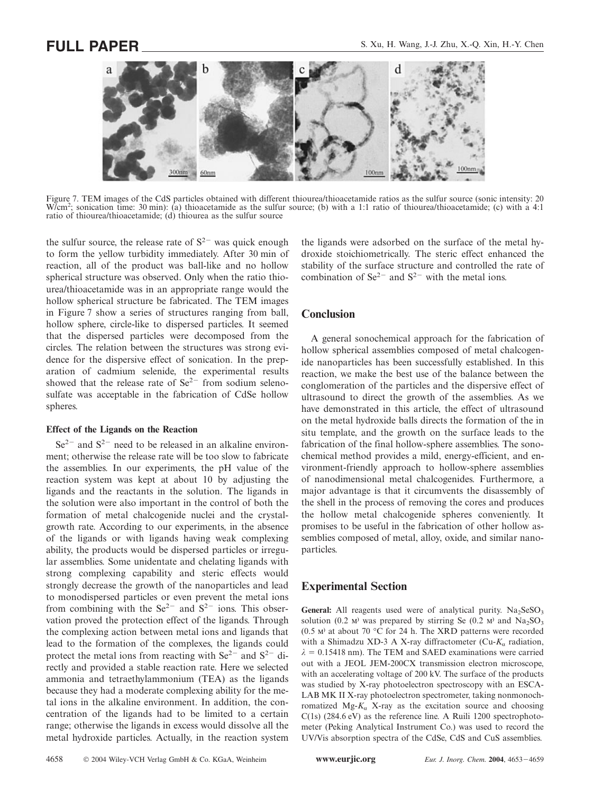

Figure 7. TEM images of the CdS particles obtained with different thiourea/thioacetamide ratios as the sulfur source (sonic intensity: 20 W/cm<sup>2</sup>; sonication time: 30 min): (a) thioacetamide as the sulfur source; (b) with a 1:1 ratio of thiourea/thioacetamide; (c) with a 4:1 ratio of thiourea/thioacetamide; (d) thiourea as the sulfur source

the sulfur source, the release rate of  $S^{2-}$  was quick enough to form the yellow turbidity immediately. After 30 min of reaction, all of the product was ball-like and no hollow spherical structure was observed. Only when the ratio thiourea/thioacetamide was in an appropriate range would the hollow spherical structure be fabricated. The TEM images in Figure 7 show a series of structures ranging from ball, hollow sphere, circle-like to dispersed particles. It seemed that the dispersed particles were decomposed from the circles. The relation between the structures was strong evidence for the dispersive effect of sonication. In the preparation of cadmium selenide, the experimental results showed that the release rate of  $Se^{2-}$  from sodium selenosulfate was acceptable in the fabrication of CdSe hollow spheres.

#### **Effect of the Ligands on the Reaction**

 $Se<sup>2-</sup>$  and  $S<sup>2-</sup>$  need to be released in an alkaline environment; otherwise the release rate will be too slow to fabricate the assemblies. In our experiments, the pH value of the reaction system was kept at about 10 by adjusting the ligands and the reactants in the solution. The ligands in the solution were also important in the control of both the formation of metal chalcogenide nuclei and the crystalgrowth rate. According to our experiments, in the absence of the ligands or with ligands having weak complexing ability, the products would be dispersed particles or irregular assemblies. Some unidentate and chelating ligands with strong complexing capability and steric effects would strongly decrease the growth of the nanoparticles and lead to monodispersed particles or even prevent the metal ions from combining with the  $\text{Se}^{2-}$  and  $\text{S}^{2-}$  ions. This observation proved the protection effect of the ligands. Through the complexing action between metal ions and ligands that lead to the formation of the complexes, the ligands could protect the metal ions from reacting with  $Se^{2-}$  and  $S^{2-}$  directly and provided a stable reaction rate. Here we selected ammonia and tetraethylammonium (TEA) as the ligands because they had a moderate complexing ability for the metal ions in the alkaline environment. In addition, the concentration of the ligands had to be limited to a certain range; otherwise the ligands in excess would dissolve all the metal hydroxide particles. Actually, in the reaction system

the ligands were adsorbed on the surface of the metal hydroxide stoichiometrically. The steric effect enhanced the stability of the surface structure and controlled the rate of combination of  $\text{Se}^{2-}$  and  $\text{S}^{2-}$  with the metal ions.

# **Conclusion**

A general sonochemical approach for the fabrication of hollow spherical assemblies composed of metal chalcogenide nanoparticles has been successfully established. In this reaction, we make the best use of the balance between the conglomeration of the particles and the dispersive effect of ultrasound to direct the growth of the assemblies. As we have demonstrated in this article, the effect of ultrasound on the metal hydroxide balls directs the formation of the in situ template, and the growth on the surface leads to the fabrication of the final hollow-sphere assemblies. The sonochemical method provides a mild, energy-efficient, and environment-friendly approach to hollow-sphere assemblies of nanodimensional metal chalcogenides. Furthermore, a major advantage is that it circumvents the disassembly of the shell in the process of removing the cores and produces the hollow metal chalcogenide spheres conveniently. It promises to be useful in the fabrication of other hollow assemblies composed of metal, alloy, oxide, and similar nanoparticles.

# **Experimental Section**

**General:** All reagents used were of analytical purity.  $Na<sub>2</sub>SeSO<sub>3</sub>$ solution (0.2  $\mu$ ) was prepared by stirring Se (0.2  $\mu$ ) and Na<sub>2</sub>SO<sub>3</sub> (0.5  $\text{M}$ ) at about 70 °C for 24 h. The XRD patterns were recorded with a Shimadzu XD-3 A X-ray diffractometer (Cu- $K_a$  radiation,  $\lambda = 0.15418$  nm). The TEM and SAED examinations were carried out with a JEOL JEM-200CX transmission electron microscope, with an accelerating voltage of 200 kV. The surface of the products was studied by X-ray photoelectron spectroscopy with an ESCA-LAB MK II X-ray photoelectron spectrometer, taking nonmonochromatized  $Mg-K_{\alpha}$  X-ray as the excitation source and choosing C(1s) (284.6 eV) as the reference line. A Ruili 1200 spectrophotometer (Peking Analytical Instrument Co.) was used to record the UV/Vis absorption spectra of the CdSe, CdS and CuS assemblies.